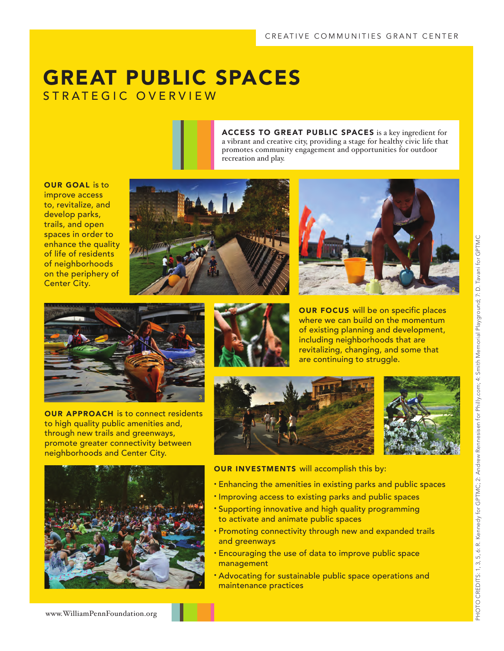## GREAT PUBLIC SPACES STRATEGIC OVERVIEW

ACCESS TO GREAT PUBLIC SPACES is a key ingredient for a vibrant and creative city, providing a stage for healthy civic life that promotes community engagement and opportunities for outdoor recreation and play.

OUR GOAL is to improve access to, revitalize, and develop parks, trails, and open spaces in order to enhance the quality of life of residents of neighborhoods on the periphery of Center City.







OUR APPROACH is to connect residents to high quality public amenities and, through new trails and greenways, promote greater connectivity between neighborhoods and Center City.



OUR FOCUS will be on specific places where we can build on the momentum of existing planning and development, including neighborhoods that are revitalizing, changing, and some that are continuing to struggle.







OUR INVESTMENTS will accomplish this by:

- Enhancing the amenities in existing parks and public spaces
- Improving access to existing parks and public spaces
- Supporting innovative and high quality programming to activate and animate public spaces
- Promoting connectivity through new and expanded trails and greenways
- Encouraging the use of data to improve public space management
- Advocating for sustainable public space operations and maintenance practices